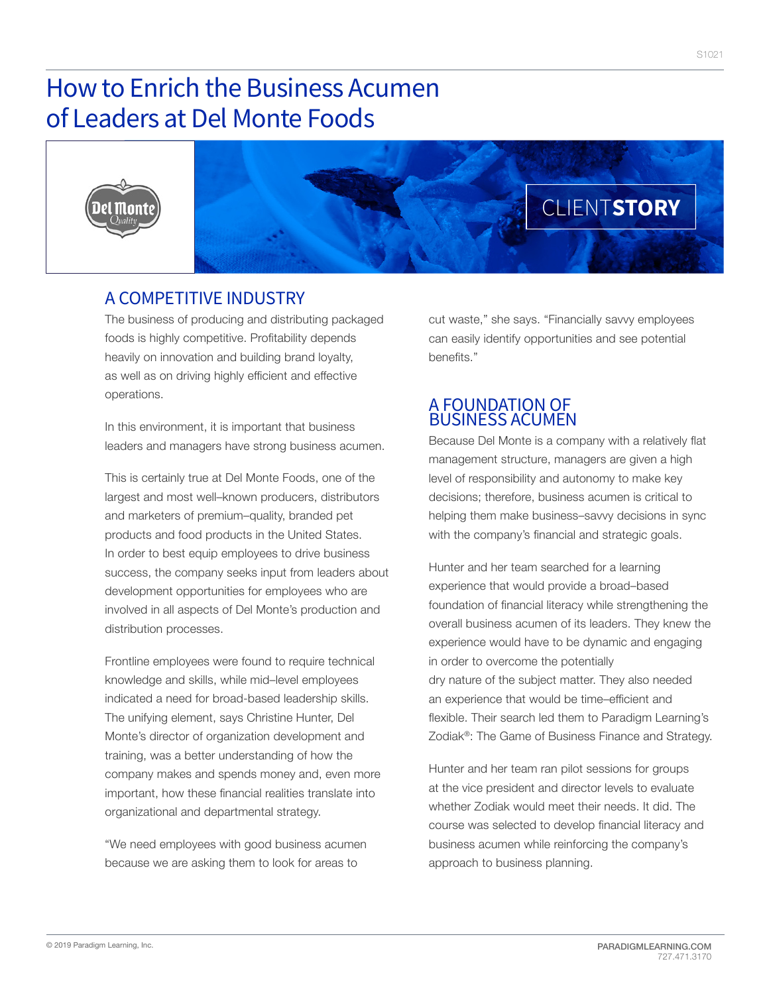# How to Enrich the Business Acumen of Leaders at Del Monte Foods





# A COMPETITIVE INDUSTRY

The business of producing and distributing packaged foods is highly competitive. Profitability depends heavily on innovation and building brand loyalty, as well as on driving highly efficient and effective operations.

In this environment, it is important that business leaders and managers have strong business acumen.

This is certainly true at Del Monte Foods, one of the largest and most well–known producers, distributors and marketers of premium–quality, branded pet products and food products in the United States. In order to best equip employees to drive business success, the company seeks input from leaders about development opportunities for employees who are involved in all aspects of Del Monte's production and distribution processes.

Frontline employees were found to require technical knowledge and skills, while mid–level employees indicated a need for broad-based leadership skills. The unifying element, says Christine Hunter, Del Monte's director of organization development and training, was a better understanding of how the company makes and spends money and, even more important, how these financial realities translate into organizational and departmental strategy.

"We need employees with good business acumen because we are asking them to look for areas to

cut waste," she says. "Financially savvy employees can easily identify opportunities and see potential benefits."

## A FOUNDATION OF BUSINESS ACUMEN

Because Del Monte is a company with a relatively flat management structure, managers are given a high level of responsibility and autonomy to make key decisions; therefore, business acumen is critical to helping them make business–savvy decisions in sync with the company's financial and strategic goals.

Hunter and her team searched for a learning experience that would provide a broad–based foundation of financial literacy while strengthening the overall business acumen of its leaders. They knew the experience would have to be dynamic and engaging in order to overcome the potentially dry nature of the subject matter. They also needed an experience that would be time–efficient and flexible. Their search led them to Paradigm Learning's Zodiak®: The Game of Business Finance and Strategy.

Hunter and her team ran pilot sessions for groups at the vice president and director levels to evaluate whether Zodiak would meet their needs. It did. The course was selected to develop financial literacy and business acumen while reinforcing the company's approach to business planning.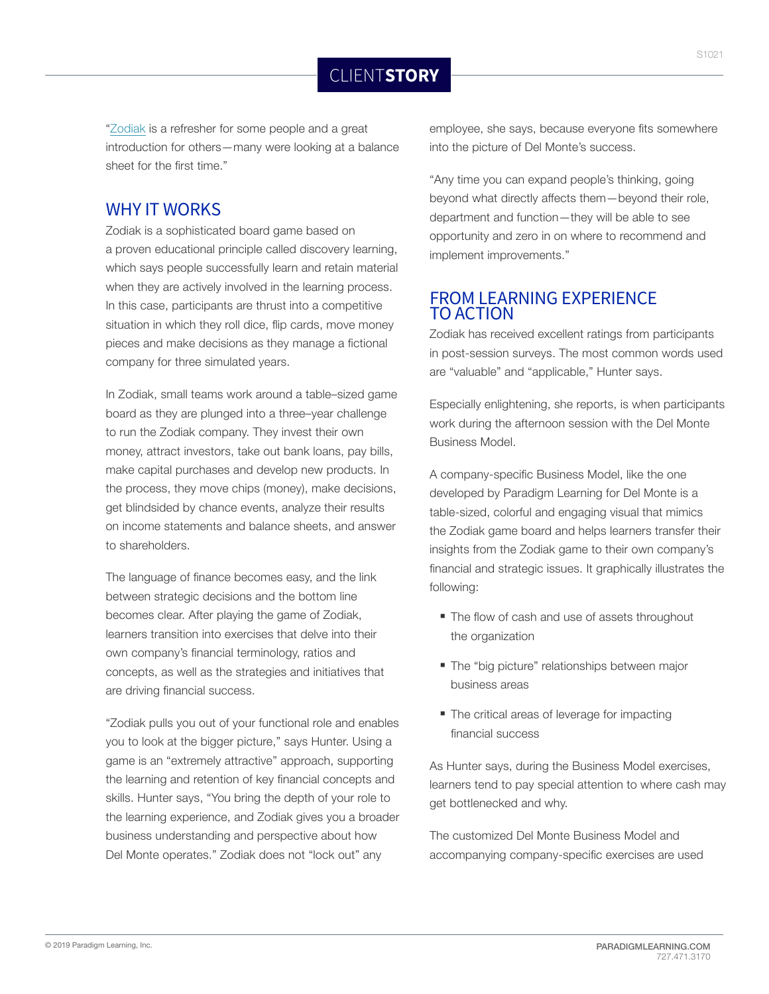"Zodiak is a refresher for some people and a great introduction for others—many were looking at a balance sheet for the first time."

### WHY IT WORKS

Zodiak is a sophisticated board game based on a proven educational principle called discovery learning, which says people successfully learn and retain material when they are actively involved in the learning process. In this case, participants are thrust into a competitive situation in which they roll dice, flip cards, move money pieces and make decisions as they manage a fictional company for three simulated years.

In Zodiak, small teams work around a table–sized game board as they are plunged into a three–year challenge to run the Zodiak company. They invest their own money, attract investors, take out bank loans, pay bills, make capital purchases and develop new products. In the process, they move chips (money), make decisions, get blindsided by chance events, analyze their results on income statements and balance sheets, and answer to shareholders.

The language of finance becomes easy, and the link between strategic decisions and the bottom line becomes clear. After playing the game of Zodiak, learners transition into exercises that delve into their own company's financial terminology, ratios and concepts, as well as the strategies and initiatives that are driving financial success.

"Zodiak pulls you out of your functional role and enables you to look at the bigger picture," says Hunter. Using a game is an "extremely attractive" approach, supporting the learning and retention of key financial concepts and skills. Hunter says, "You bring the depth of your role to the learning experience, and Zodiak gives you a broader business understanding and perspective about how Del Monte operates." Zodiak does not "lock out" any

employee, she says, because everyone fits somewhere into the picture of Del Monte's success.

"Any time you can expand people's thinking, going beyond what directly affects them—beyond their role, department and function—they will be able to see opportunity and zero in on where to recommend and implement improvements."

#### FROM LEARNING EXPERIENCE TO ACTION

Zodiak has received excellent ratings from participants in post-session surveys. The most common words used are "valuable" and "applicable," Hunter says.

Especially enlightening, she reports, is when participants work during the afternoon session with the Del Monte Business Model.

A company-specific Business Model, like the one developed by Paradigm Learning for Del Monte is a table-sized, colorful and engaging visual that mimics the Zodiak game board and helps learners transfer their insights from the Zodiak game to their own company's financial and strategic issues. It graphically illustrates the following:

- The flow of cash and use of assets throughout the organization
- **The "big picture" relationships between major** business areas
- The critical areas of leverage for impacting financial success

As Hunter says, during the Business Model exercises, learners tend to pay special attention to where cash may get bottlenecked and why.

The customized Del Monte Business Model and accompanying company-specific exercises are used